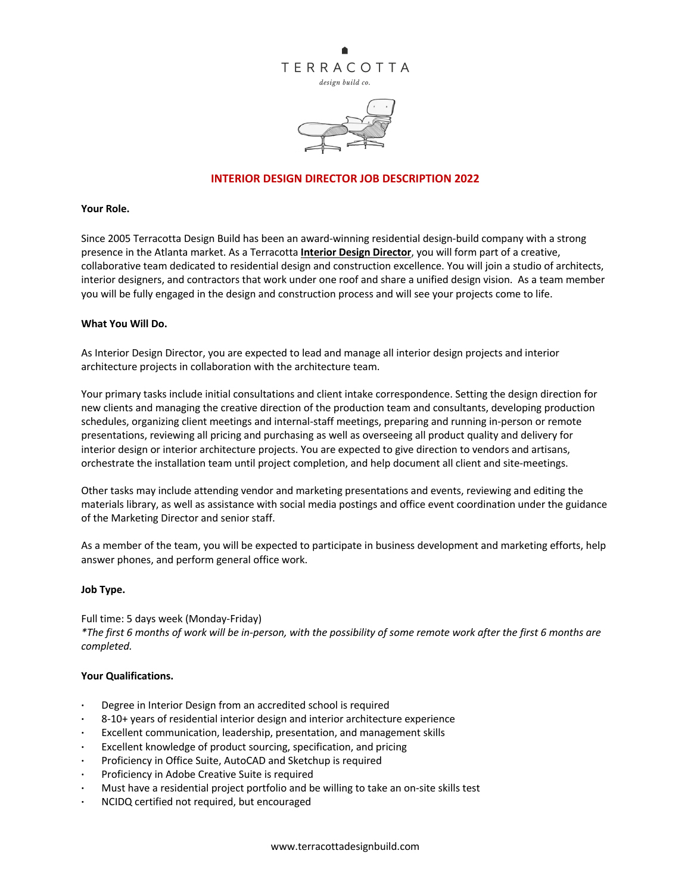



### **INTERIOR DESIGN DIRECTOR JOB DESCRIPTION 2022**

#### **Your Role.**

Since 2005 Terracotta Design Build has been an award-winning residential design-build company with a strong presence in the Atlanta market. As a Terracotta **Interior Design Director**, you will form part of a creative, collaborative team dedicated to residential design and construction excellence. You will join a studio of architects, interior designers, and contractors that work under one roof and share a unified design vision. As a team member you will be fully engaged in the design and construction process and will see your projects come to life.

#### **What You Will Do.**

As Interior Design Director, you are expected to lead and manage all interior design projects and interior architecture projects in collaboration with the architecture team.

Your primary tasks include initial consultations and client intake correspondence. Setting the design direction for new clients and managing the creative direction of the production team and consultants, developing production schedules, organizing client meetings and internal-staff meetings, preparing and running in-person or remote presentations, reviewing all pricing and purchasing as well as overseeing all product quality and delivery for interior design or interior architecture projects. You are expected to give direction to vendors and artisans, orchestrate the installation team until project completion, and help document all client and site-meetings.

Other tasks may include attending vendor and marketing presentations and events, reviewing and editing the materials library, as well as assistance with social media postings and office event coordination under the guidance of the Marketing Director and senior staff.

As a member of the team, you will be expected to participate in business development and marketing efforts, help answer phones, and perform general office work.

#### **Job Type.**

Full time: 5 days week (Monday-Friday) *\*The first 6 months of work will be in-person, with the possibility of some remote work after the first 6 months are completed.*

#### **Your Qualifications.**

- **·** Degree in Interior Design from an accredited school is required
- **·** 8-10+ years of residential interior design and interior architecture experience
- **·** Excellent communication, leadership, presentation, and management skills
- **·** Excellent knowledge of product sourcing, specification, and pricing
- **·** Proficiency in Office Suite, AutoCAD and Sketchup is required
- **·** Proficiency in Adobe Creative Suite is required
- **·** Must have a residential project portfolio and be willing to take an on-site skills test
- **·** NCIDQ certified not required, but encouraged

www.terracottadesignbuild.com